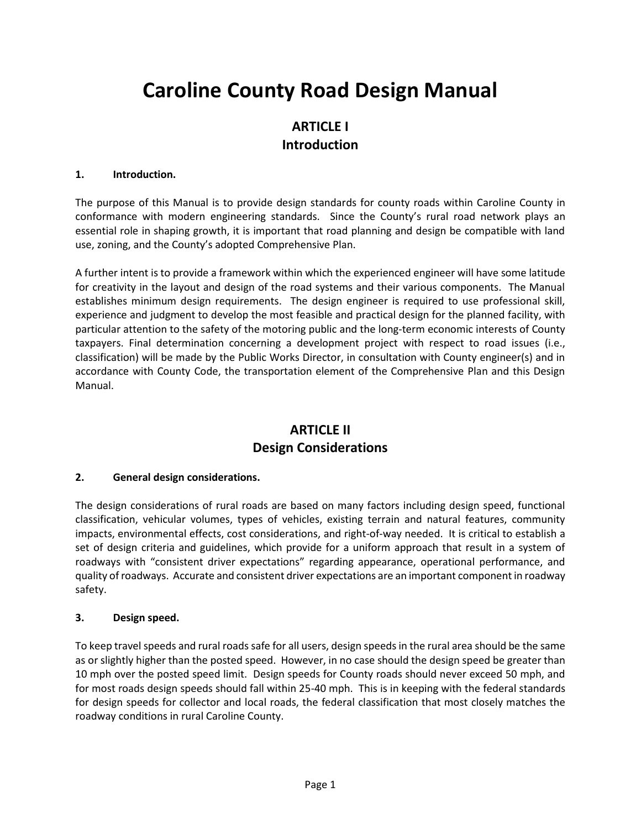# **Caroline County Road Design Manual**

# **ARTICLE I Introduction**

### **1. Introduction.**

The purpose of this Manual is to provide design standards for county roads within Caroline County in conformance with modern engineering standards. Since the County's rural road network plays an essential role in shaping growth, it is important that road planning and design be compatible with land use, zoning, and the County's adopted Comprehensive Plan.

A further intent is to provide a framework within which the experienced engineer will have some latitude for creativity in the layout and design of the road systems and their various components. The Manual establishes minimum design requirements. The design engineer is required to use professional skill, experience and judgment to develop the most feasible and practical design for the planned facility, with particular attention to the safety of the motoring public and the long-term economic interests of County taxpayers. Final determination concerning a development project with respect to road issues (i.e., classification) will be made by the Public Works Director, in consultation with County engineer(s) and in accordance with County Code, the transportation element of the Comprehensive Plan and this Design Manual.

# **ARTICLE II Design Considerations**

### **2. General design considerations.**

The design considerations of rural roads are based on many factors including design speed, functional classification, vehicular volumes, types of vehicles, existing terrain and natural features, community impacts, environmental effects, cost considerations, and right-of-way needed. It is critical to establish a set of design criteria and guidelines, which provide for a uniform approach that result in a system of roadways with "consistent driver expectations" regarding appearance, operational performance, and quality of roadways. Accurate and consistent driver expectations are an important component in roadway safety.

### **3. Design speed.**

To keep travel speeds and rural roads safe for all users, design speeds in the rural area should be the same as or slightly higher than the posted speed. However, in no case should the design speed be greater than 10 mph over the posted speed limit. Design speeds for County roads should never exceed 50 mph, and for most roads design speeds should fall within 25-40 mph. This is in keeping with the federal standards for design speeds for collector and local roads, the federal classification that most closely matches the roadway conditions in rural Caroline County.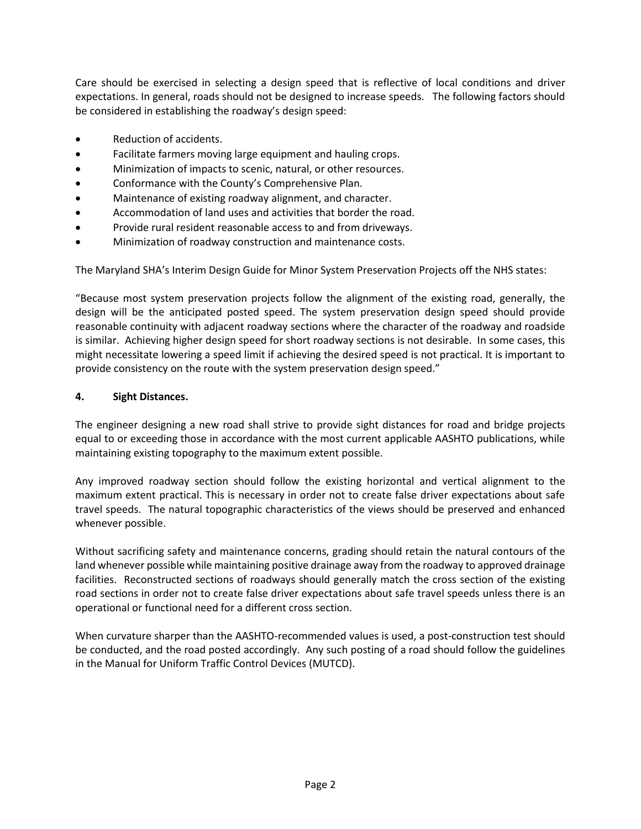Care should be exercised in selecting a design speed that is reflective of local conditions and driver expectations. In general, roads should not be designed to increase speeds. The following factors should be considered in establishing the roadway's design speed:

- Reduction of accidents.
- Facilitate farmers moving large equipment and hauling crops.
- Minimization of impacts to scenic, natural, or other resources.
- Conformance with the County's Comprehensive Plan.
- Maintenance of existing roadway alignment, and character.
- Accommodation of land uses and activities that border the road.
- Provide rural resident reasonable access to and from driveways.
- Minimization of roadway construction and maintenance costs.

The Maryland SHA's Interim Design Guide for Minor System Preservation Projects off the NHS states:

"Because most system preservation projects follow the alignment of the existing road, generally, the design will be the anticipated posted speed. The system preservation design speed should provide reasonable continuity with adjacent roadway sections where the character of the roadway and roadside is similar. Achieving higher design speed for short roadway sections is not desirable. In some cases, this might necessitate lowering a speed limit if achieving the desired speed is not practical. It is important to provide consistency on the route with the system preservation design speed."

# **4. Sight Distances.**

The engineer designing a new road shall strive to provide sight distances for road and bridge projects equal to or exceeding those in accordance with the most current applicable AASHTO publications, while maintaining existing topography to the maximum extent possible.

Any improved roadway section should follow the existing horizontal and vertical alignment to the maximum extent practical. This is necessary in order not to create false driver expectations about safe travel speeds. The natural topographic characteristics of the views should be preserved and enhanced whenever possible.

Without sacrificing safety and maintenance concerns, grading should retain the natural contours of the land whenever possible while maintaining positive drainage away from the roadway to approved drainage facilities. Reconstructed sections of roadways should generally match the cross section of the existing road sections in order not to create false driver expectations about safe travel speeds unless there is an operational or functional need for a different cross section.

When curvature sharper than the AASHTO-recommended values is used, a post-construction test should be conducted, and the road posted accordingly. Any such posting of a road should follow the guidelines in the Manual for Uniform Traffic Control Devices (MUTCD).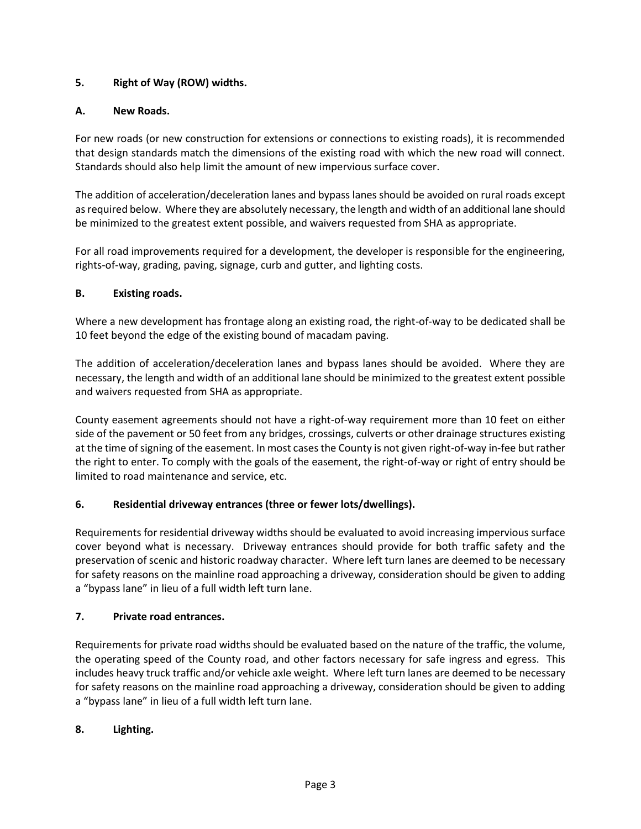# **5. Right of Way (ROW) widths.**

# **A. New Roads.**

For new roads (or new construction for extensions or connections to existing roads), it is recommended that design standards match the dimensions of the existing road with which the new road will connect. Standards should also help limit the amount of new impervious surface cover.

The addition of acceleration/deceleration lanes and bypass lanes should be avoided on rural roads except as required below. Where they are absolutely necessary, the length and width of an additional lane should be minimized to the greatest extent possible, and waivers requested from SHA as appropriate.

For all road improvements required for a development, the developer is responsible for the engineering, rights-of-way, grading, paving, signage, curb and gutter, and lighting costs.

# **B. Existing roads.**

Where a new development has frontage along an existing road, the right-of-way to be dedicated shall be 10 feet beyond the edge of the existing bound of macadam paving.

The addition of acceleration/deceleration lanes and bypass lanes should be avoided. Where they are necessary, the length and width of an additional lane should be minimized to the greatest extent possible and waivers requested from SHA as appropriate.

County easement agreements should not have a right-of-way requirement more than 10 feet on either side of the pavement or 50 feet from any bridges, crossings, culverts or other drainage structures existing at the time of signing of the easement. In most cases the County is not given right-of-way in-fee but rather the right to enter. To comply with the goals of the easement, the right-of-way or right of entry should be limited to road maintenance and service, etc.

# **6. Residential driveway entrances (three or fewer lots/dwellings).**

Requirements for residential driveway widths should be evaluated to avoid increasing impervious surface cover beyond what is necessary. Driveway entrances should provide for both traffic safety and the preservation of scenic and historic roadway character. Where left turn lanes are deemed to be necessary for safety reasons on the mainline road approaching a driveway, consideration should be given to adding a "bypass lane" in lieu of a full width left turn lane.

# **7. Private road entrances.**

Requirements for private road widths should be evaluated based on the nature of the traffic, the volume, the operating speed of the County road, and other factors necessary for safe ingress and egress. This includes heavy truck traffic and/or vehicle axle weight. Where left turn lanes are deemed to be necessary for safety reasons on the mainline road approaching a driveway, consideration should be given to adding a "bypass lane" in lieu of a full width left turn lane.

# **8. Lighting.**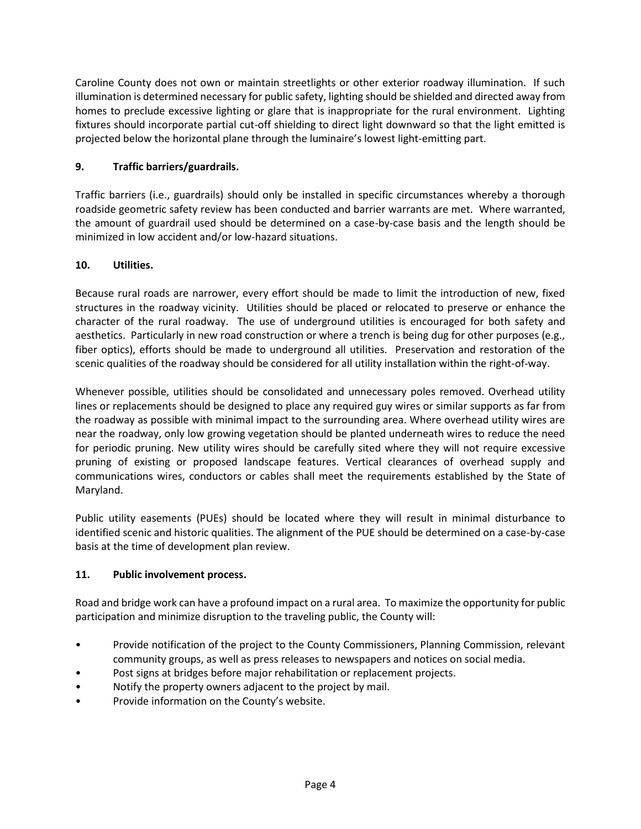Caroline County does not own or maintain streetlights or other exterior roadway illumination. If such illumination is determined necessary for public safety, lighting should be shielded and directed away from homes to preclude excessive lighting or glare that is inappropriate for the rural environment. Lighting fixtures should incorporate partial cut-off shielding to direct light downward so that the light emitted is projected below the horizontal plane through the luminaire's lowest light-emitting part.

# **9. Traffic barriers/guardrails.**

Traffic barriers (i.e., guardrails) should only be installed in specific circumstances whereby a thorough roadside geometric safety review has been conducted and barrier warrants are met. Where warranted, the amount of guardrail used should be determined on a case-by-case basis and the length should be minimized in low accident and/or low-hazard situations.

# **10. Utilities.**

Because rural roads are narrower, every effort should be made to limit the introduction of new, fixed structures in the roadway vicinity. Utilities should be placed or relocated to preserve or enhance the character of the rural roadway. The use of underground utilities is encouraged for both safety and aesthetics. Particularly in new road construction or where a trench is being dug for other purposes (e.g., fiber optics), efforts should be made to underground all utilities. Preservation and restoration of the scenic qualities of the roadway should be considered for all utility installation within the right-of-way.

Whenever possible, utilities should be consolidated and unnecessary poles removed. Overhead utility lines or replacements should be designed to place any required guy wires or similar supports as far from the roadway as possible with minimal impact to the surrounding area. Where overhead utility wires are near the roadway, only low growing vegetation should be planted underneath wires to reduce the need for periodic pruning. New utility wires should be carefully sited where they will not require excessive pruning of existing or proposed landscape features. Vertical clearances of overhead supply and communications wires, conductors or cables shall meet the requirements established by the State of Maryland.

Public utility easements (PUEs) should be located where they will result in minimal disturbance to identified scenic and historic qualities. The alignment of the PUE should be determined on a case-by-case basis at the time of development plan review.

# **11. Public involvement process.**

Road and bridge work can have a profound impact on a rural area. To maximize the opportunity for public participation and minimize disruption to the traveling public, the County will:

- Provide notification of the project to the County Commissioners, Planning Commission, relevant community groups, as well as press releases to newspapers and notices on social media.
- Post signs at bridges before major rehabilitation or replacement projects.
- Notify the property owners adjacent to the project by mail.
- Provide information on the County's website.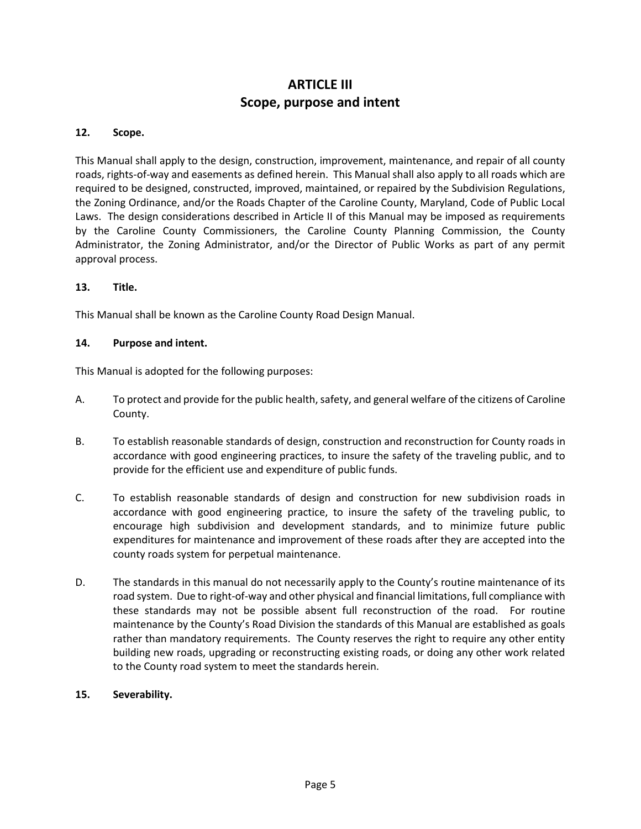# **ARTICLE III Scope, purpose and intent**

### **12. Scope.**

This Manual shall apply to the design, construction, improvement, maintenance, and repair of all county roads, rights-of-way and easements as defined herein. This Manual shall also apply to all roads which are required to be designed, constructed, improved, maintained, or repaired by the Subdivision Regulations, the Zoning Ordinance, and/or the Roads Chapter of the Caroline County, Maryland, Code of Public Local Laws. The design considerations described in Article II of this Manual may be imposed as requirements by the Caroline County Commissioners, the Caroline County Planning Commission, the County Administrator, the Zoning Administrator, and/or the Director of Public Works as part of any permit approval process.

### **13. Title.**

This Manual shall be known as the Caroline County Road Design Manual.

### **14. Purpose and intent.**

This Manual is adopted for the following purposes:

- A. To protect and provide for the public health, safety, and general welfare of the citizens of Caroline County.
- B. To establish reasonable standards of design, construction and reconstruction for County roads in accordance with good engineering practices, to insure the safety of the traveling public, and to provide for the efficient use and expenditure of public funds.
- C. To establish reasonable standards of design and construction for new subdivision roads in accordance with good engineering practice, to insure the safety of the traveling public, to encourage high subdivision and development standards, and to minimize future public expenditures for maintenance and improvement of these roads after they are accepted into the county roads system for perpetual maintenance.
- D. The standards in this manual do not necessarily apply to the County's routine maintenance of its road system. Due to right-of-way and other physical and financial limitations, full compliance with these standards may not be possible absent full reconstruction of the road. For routine maintenance by the County's Road Division the standards of this Manual are established as goals rather than mandatory requirements. The County reserves the right to require any other entity building new roads, upgrading or reconstructing existing roads, or doing any other work related to the County road system to meet the standards herein.

### **15. Severability.**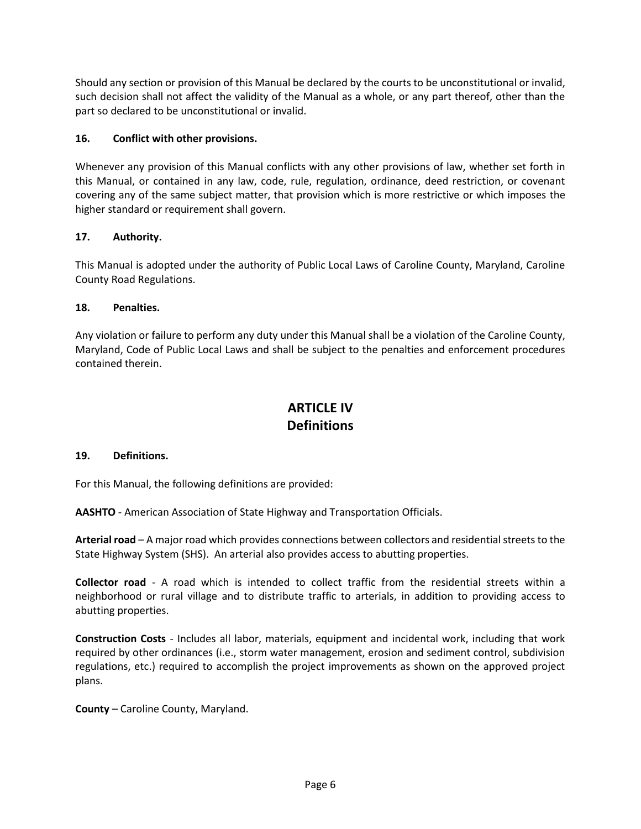Should any section or provision of this Manual be declared by the courts to be unconstitutional or invalid, such decision shall not affect the validity of the Manual as a whole, or any part thereof, other than the part so declared to be unconstitutional or invalid.

# **16. Conflict with other provisions.**

Whenever any provision of this Manual conflicts with any other provisions of law, whether set forth in this Manual, or contained in any law, code, rule, regulation, ordinance, deed restriction, or covenant covering any of the same subject matter, that provision which is more restrictive or which imposes the higher standard or requirement shall govern.

# **17. Authority.**

This Manual is adopted under the authority of Public Local Laws of Caroline County, Maryland, Caroline County Road Regulations.

# **18. Penalties.**

Any violation or failure to perform any duty under this Manual shall be a violation of the Caroline County, Maryland, Code of Public Local Laws and shall be subject to the penalties and enforcement procedures contained therein.

# **ARTICLE IV Definitions**

### **19. Definitions.**

For this Manual, the following definitions are provided:

**AASHTO** - American Association of State Highway and Transportation Officials.

**Arterial road** – A major road which provides connections between collectors and residential streets to the State Highway System (SHS). An arterial also provides access to abutting properties.

**Collector road** - A road which is intended to collect traffic from the residential streets within a neighborhood or rural village and to distribute traffic to arterials, in addition to providing access to abutting properties.

**Construction Costs** - Includes all labor, materials, equipment and incidental work, including that work required by other ordinances (i.e., storm water management, erosion and sediment control, subdivision regulations, etc.) required to accomplish the project improvements as shown on the approved project plans.

**County** – Caroline County, Maryland.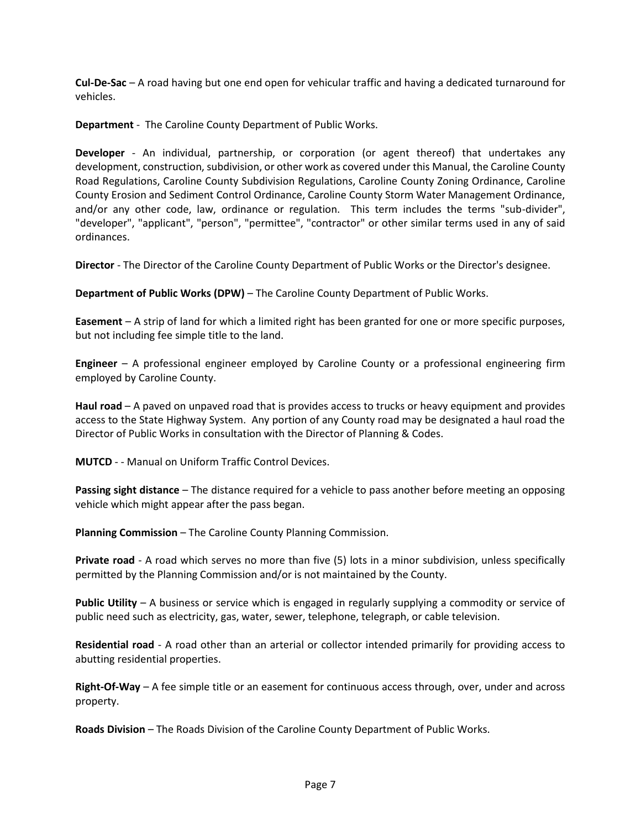**Cul-De-Sac** – A road having but one end open for vehicular traffic and having a dedicated turnaround for vehicles.

**Department** - The Caroline County Department of Public Works.

**Developer** - An individual, partnership, or corporation (or agent thereof) that undertakes any development, construction, subdivision, or other work as covered under this Manual, the Caroline County Road Regulations, Caroline County Subdivision Regulations, Caroline County Zoning Ordinance, Caroline County Erosion and Sediment Control Ordinance, Caroline County Storm Water Management Ordinance, and/or any other code, law, ordinance or regulation. This term includes the terms "sub-divider", "developer", "applicant", "person", "permittee", "contractor" or other similar terms used in any of said ordinances.

**Director** - The Director of the Caroline County Department of Public Works or the Director's designee.

**Department of Public Works (DPW)** – The Caroline County Department of Public Works.

**Easement** – A strip of land for which a limited right has been granted for one or more specific purposes, but not including fee simple title to the land.

**Engineer** – A professional engineer employed by Caroline County or a professional engineering firm employed by Caroline County.

**Haul road** – A paved on unpaved road that is provides access to trucks or heavy equipment and provides access to the State Highway System. Any portion of any County road may be designated a haul road the Director of Public Works in consultation with the Director of Planning & Codes.

**MUTCD** - - Manual on Uniform Traffic Control Devices.

**Passing sight distance** – The distance required for a vehicle to pass another before meeting an opposing vehicle which might appear after the pass began.

**Planning Commission** – The Caroline County Planning Commission.

**Private road** - A road which serves no more than five (5) lots in a minor subdivision, unless specifically permitted by the Planning Commission and/or is not maintained by the County.

**Public Utility** – A business or service which is engaged in regularly supplying a commodity or service of public need such as electricity, gas, water, sewer, telephone, telegraph, or cable television.

**Residential road** - A road other than an arterial or collector intended primarily for providing access to abutting residential properties.

**Right-Of-Way** – A fee simple title or an easement for continuous access through, over, under and across property.

**Roads Division** – The Roads Division of the Caroline County Department of Public Works.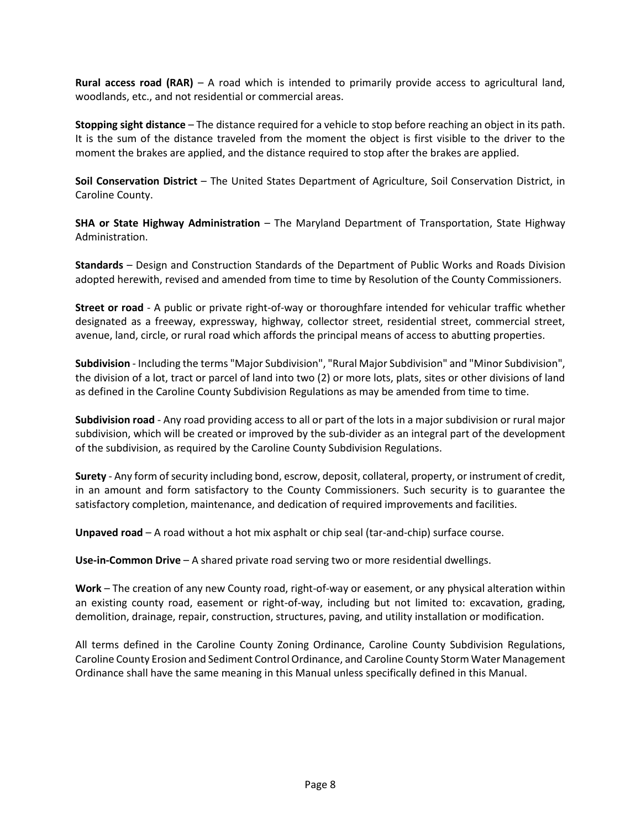**Rural access road (RAR)** – A road which is intended to primarily provide access to agricultural land, woodlands, etc., and not residential or commercial areas.

**Stopping sight distance** – The distance required for a vehicle to stop before reaching an object in its path. It is the sum of the distance traveled from the moment the object is first visible to the driver to the moment the brakes are applied, and the distance required to stop after the brakes are applied.

**Soil Conservation District** – The United States Department of Agriculture, Soil Conservation District, in Caroline County.

**SHA or State Highway Administration** – The Maryland Department of Transportation, State Highway Administration.

**Standards** – Design and Construction Standards of the Department of Public Works and Roads Division adopted herewith, revised and amended from time to time by Resolution of the County Commissioners.

**Street or road** - A public or private right-of-way or thoroughfare intended for vehicular traffic whether designated as a freeway, expressway, highway, collector street, residential street, commercial street, avenue, land, circle, or rural road which affords the principal means of access to abutting properties.

**Subdivision** - Including the terms "Major Subdivision", "Rural Major Subdivision" and "Minor Subdivision", the division of a lot, tract or parcel of land into two (2) or more lots, plats, sites or other divisions of land as defined in the Caroline County Subdivision Regulations as may be amended from time to time.

**Subdivision road** - Any road providing access to all or part of the lots in a major subdivision or rural major subdivision, which will be created or improved by the sub-divider as an integral part of the development of the subdivision, as required by the Caroline County Subdivision Regulations.

**Surety** - Any form of security including bond, escrow, deposit, collateral, property, or instrument of credit, in an amount and form satisfactory to the County Commissioners. Such security is to guarantee the satisfactory completion, maintenance, and dedication of required improvements and facilities.

**Unpaved road** – A road without a hot mix asphalt or chip seal (tar-and-chip) surface course.

**Use-in-Common Drive** – A shared private road serving two or more residential dwellings.

**Work** – The creation of any new County road, right-of-way or easement, or any physical alteration within an existing county road, easement or right-of-way, including but not limited to: excavation, grading, demolition, drainage, repair, construction, structures, paving, and utility installation or modification.

All terms defined in the Caroline County Zoning Ordinance, Caroline County Subdivision Regulations, Caroline County Erosion and Sediment Control Ordinance, and Caroline County Storm Water Management Ordinance shall have the same meaning in this Manual unless specifically defined in this Manual.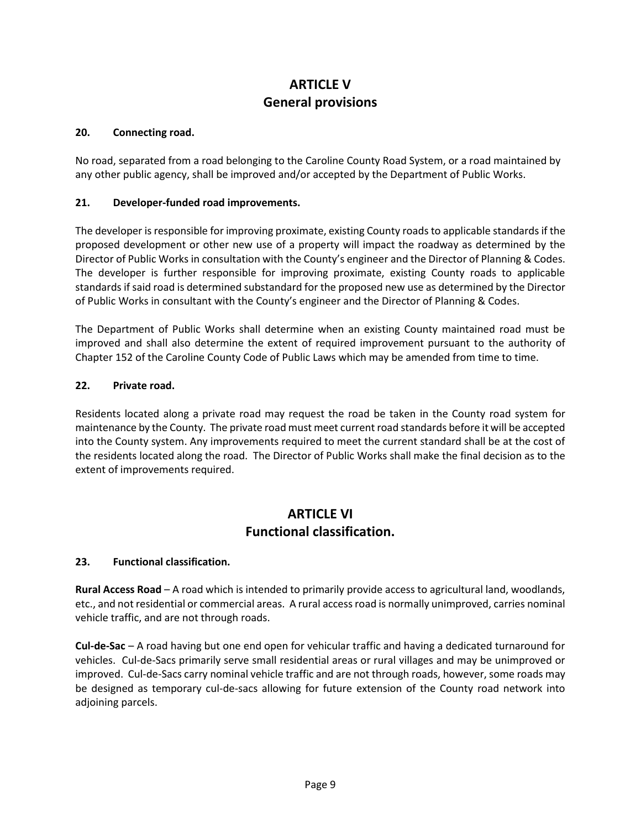# **ARTICLE V General provisions**

### **20. Connecting road.**

No road, separated from a road belonging to the Caroline County Road System, or a road maintained by any other public agency, shall be improved and/or accepted by the Department of Public Works.

# **21. Developer-funded road improvements.**

The developer is responsible for improving proximate, existing County roads to applicable standards if the proposed development or other new use of a property will impact the roadway as determined by the Director of Public Works in consultation with the County's engineer and the Director of Planning & Codes. The developer is further responsible for improving proximate, existing County roads to applicable standards if said road is determined substandard for the proposed new use as determined by the Director of Public Works in consultant with the County's engineer and the Director of Planning & Codes.

The Department of Public Works shall determine when an existing County maintained road must be improved and shall also determine the extent of required improvement pursuant to the authority of Chapter 152 of the Caroline County Code of Public Laws which may be amended from time to time.

# **22. Private road.**

Residents located along a private road may request the road be taken in the County road system for maintenance by the County. The private road must meet current road standards before it will be accepted into the County system. Any improvements required to meet the current standard shall be at the cost of the residents located along the road. The Director of Public Works shall make the final decision as to the extent of improvements required.

# **ARTICLE VI Functional classification.**

# **23. Functional classification.**

**Rural Access Road** – A road which is intended to primarily provide access to agricultural land, woodlands, etc., and not residential or commercial areas. A rural access road is normally unimproved, carries nominal vehicle traffic, and are not through roads.

**Cul-de-Sac** – A road having but one end open for vehicular traffic and having a dedicated turnaround for vehicles. Cul-de-Sacs primarily serve small residential areas or rural villages and may be unimproved or improved. Cul-de-Sacs carry nominal vehicle traffic and are not through roads, however, some roads may be designed as temporary cul-de-sacs allowing for future extension of the County road network into adjoining parcels.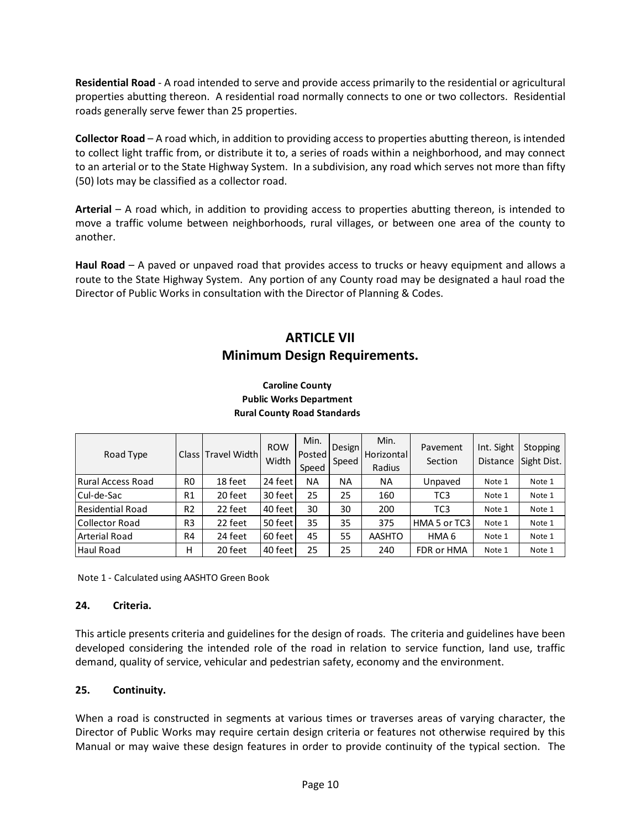**Residential Road** - A road intended to serve and provide access primarily to the residential or agricultural properties abutting thereon. A residential road normally connects to one or two collectors. Residential roads generally serve fewer than 25 properties.

**Collector Road** – A road which, in addition to providing access to properties abutting thereon, is intended to collect light traffic from, or distribute it to, a series of roads within a neighborhood, and may connect to an arterial or to the State Highway System. In a subdivision, any road which serves not more than fifty (50) lots may be classified as a collector road.

**Arterial** – A road which, in addition to providing access to properties abutting thereon, is intended to move a traffic volume between neighborhoods, rural villages, or between one area of the county to another.

**Haul Road** – A paved or unpaved road that provides access to trucks or heavy equipment and allows a route to the State Highway System. Any portion of any County road may be designated a haul road the Director of Public Works in consultation with the Director of Planning & Codes.

# **ARTICLE VII Minimum Design Requirements.**

| Road Type                |                | Class Travel Width | <b>ROW</b><br>Width | Min.<br>Posted<br>Speed | Design<br>Speed | Min.<br><b>Horizontal</b><br>Radius | Pavement<br>Section | Int. Sight<br><b>Distance</b> | Stopping<br>Sight Dist. |
|--------------------------|----------------|--------------------|---------------------|-------------------------|-----------------|-------------------------------------|---------------------|-------------------------------|-------------------------|
| <b>Rural Access Road</b> | R <sub>0</sub> | 18 feet            | 24 feet             | <b>NA</b>               | ΝA              | <b>NA</b>                           | Unpaved             | Note 1                        | Note 1                  |
| Cul-de-Sac               | R1             | 20 feet            | 30 feet             | 25                      | 25              | 160                                 | TC3                 | Note 1                        | Note 1                  |
| Residential Road         | R <sub>2</sub> | 22 feet            | 40 feet             | 30                      | 30              | 200                                 | TC <sub>3</sub>     | Note 1                        | Note 1                  |
| Collector Road           | R <sub>3</sub> | 22 feet            | 50 feet             | 35                      | 35              | 375                                 | HMA 5 or TC3        | Note 1                        | Note 1                  |
| <b>Arterial Road</b>     | R <sub>4</sub> | 24 feet            | 60 feet             | 45                      | 55              | AASHTO                              | HMA <sub>6</sub>    | Note 1                        | Note 1                  |
| Haul Road                | н              | 20 feet            | 40 feet             | 25                      | 25              | 240                                 | FDR or HMA          | Note 1                        | Note 1                  |

### **Caroline County Public Works Department Rural County Road Standards**

Note 1 - Calculated using AASHTO Green Book

### **24. Criteria.**

This article presents criteria and guidelines for the design of roads. The criteria and guidelines have been developed considering the intended role of the road in relation to service function, land use, traffic demand, quality of service, vehicular and pedestrian safety, economy and the environment.

# **25. Continuity.**

When a road is constructed in segments at various times or traverses areas of varying character, the Director of Public Works may require certain design criteria or features not otherwise required by this Manual or may waive these design features in order to provide continuity of the typical section. The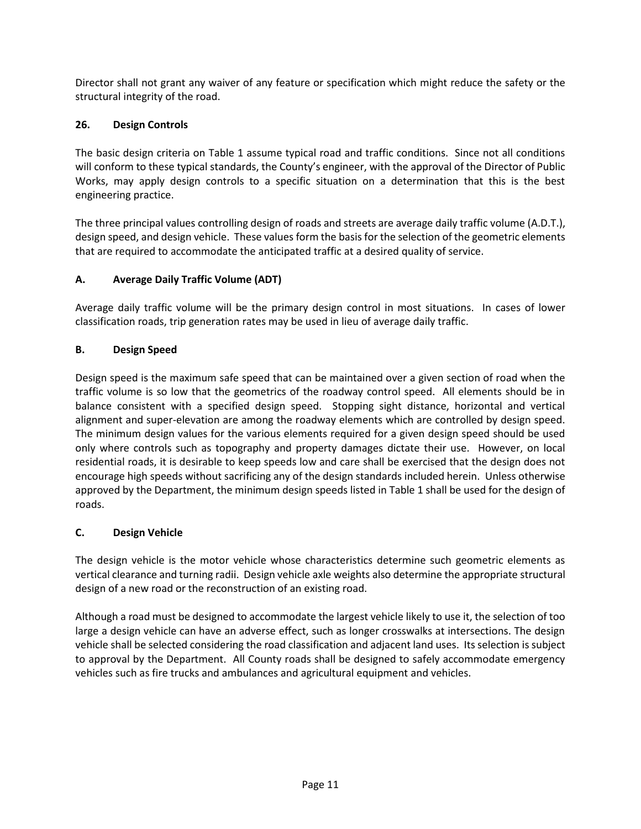Director shall not grant any waiver of any feature or specification which might reduce the safety or the structural integrity of the road.

# **26. Design Controls**

The basic design criteria on Table 1 assume typical road and traffic conditions. Since not all conditions will conform to these typical standards, the County's engineer, with the approval of the Director of Public Works, may apply design controls to a specific situation on a determination that this is the best engineering practice.

The three principal values controlling design of roads and streets are average daily traffic volume (A.D.T.), design speed, and design vehicle. These values form the basis for the selection of the geometric elements that are required to accommodate the anticipated traffic at a desired quality of service.

# **A. Average Daily Traffic Volume (ADT)**

Average daily traffic volume will be the primary design control in most situations. In cases of lower classification roads, trip generation rates may be used in lieu of average daily traffic.

# **B. Design Speed**

Design speed is the maximum safe speed that can be maintained over a given section of road when the traffic volume is so low that the geometrics of the roadway control speed. All elements should be in balance consistent with a specified design speed. Stopping sight distance, horizontal and vertical alignment and super-elevation are among the roadway elements which are controlled by design speed. The minimum design values for the various elements required for a given design speed should be used only where controls such as topography and property damages dictate their use. However, on local residential roads, it is desirable to keep speeds low and care shall be exercised that the design does not encourage high speeds without sacrificing any of the design standards included herein. Unless otherwise approved by the Department, the minimum design speeds listed in Table 1 shall be used for the design of roads.

# **C. Design Vehicle**

The design vehicle is the motor vehicle whose characteristics determine such geometric elements as vertical clearance and turning radii. Design vehicle axle weights also determine the appropriate structural design of a new road or the reconstruction of an existing road.

Although a road must be designed to accommodate the largest vehicle likely to use it, the selection of too large a design vehicle can have an adverse effect, such as longer crosswalks at intersections. The design vehicle shall be selected considering the road classification and adjacent land uses. Its selection is subject to approval by the Department. All County roads shall be designed to safely accommodate emergency vehicles such as fire trucks and ambulances and agricultural equipment and vehicles.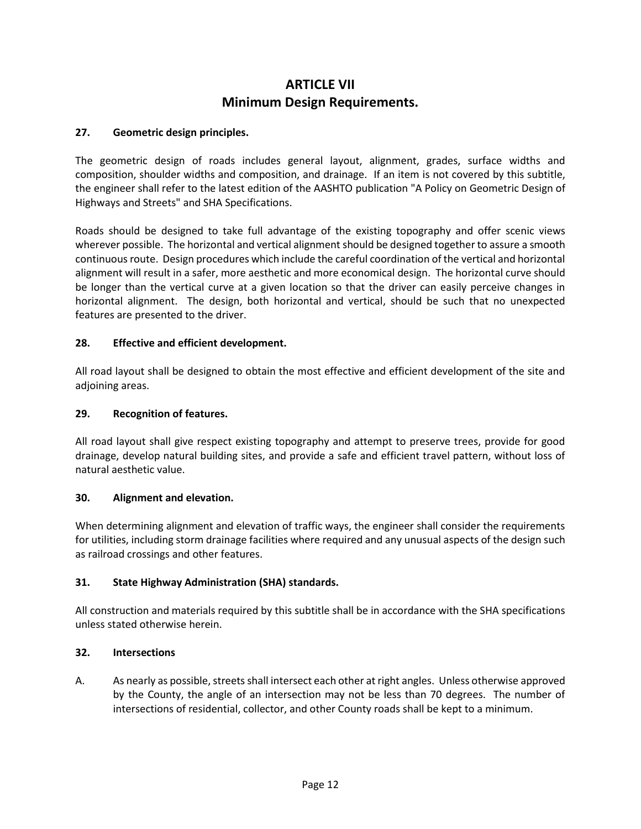# **ARTICLE VII Minimum Design Requirements.**

# **27. Geometric design principles.**

The geometric design of roads includes general layout, alignment, grades, surface widths and composition, shoulder widths and composition, and drainage. If an item is not covered by this subtitle, the engineer shall refer to the latest edition of the AASHTO publication "A Policy on Geometric Design of Highways and Streets" and SHA Specifications.

Roads should be designed to take full advantage of the existing topography and offer scenic views wherever possible. The horizontal and vertical alignment should be designed together to assure a smooth continuous route. Design procedures which include the careful coordination of the vertical and horizontal alignment will result in a safer, more aesthetic and more economical design. The horizontal curve should be longer than the vertical curve at a given location so that the driver can easily perceive changes in horizontal alignment. The design, both horizontal and vertical, should be such that no unexpected features are presented to the driver.

### **28. Effective and efficient development.**

All road layout shall be designed to obtain the most effective and efficient development of the site and adjoining areas.

### **29. Recognition of features.**

All road layout shall give respect existing topography and attempt to preserve trees, provide for good drainage, develop natural building sites, and provide a safe and efficient travel pattern, without loss of natural aesthetic value.

### **30. Alignment and elevation.**

When determining alignment and elevation of traffic ways, the engineer shall consider the requirements for utilities, including storm drainage facilities where required and any unusual aspects of the design such as railroad crossings and other features.

### **31. State Highway Administration (SHA) standards.**

All construction and materials required by this subtitle shall be in accordance with the SHA specifications unless stated otherwise herein.

#### **32. Intersections**

A. As nearly as possible, streets shall intersect each other at right angles. Unless otherwise approved by the County, the angle of an intersection may not be less than 70 degrees. The number of intersections of residential, collector, and other County roads shall be kept to a minimum.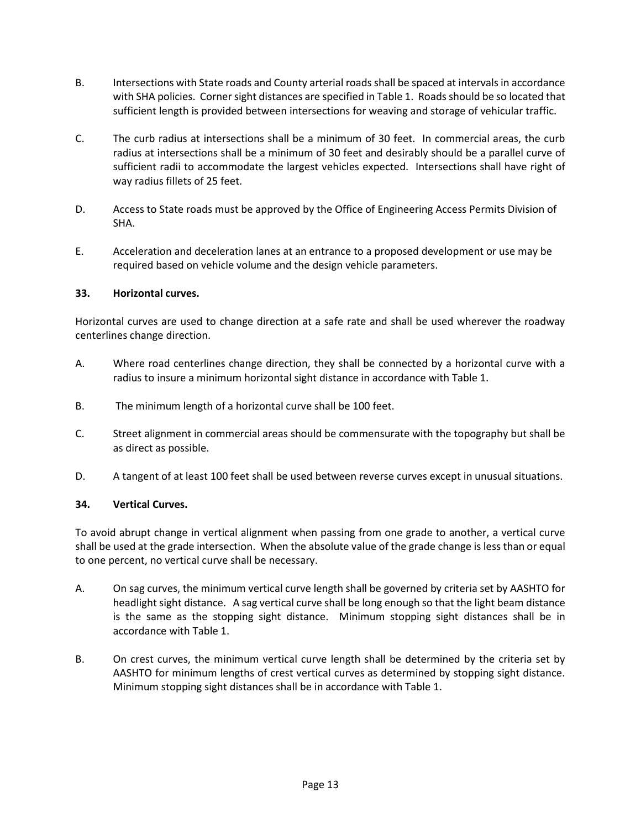- B. Intersections with State roads and County arterial roads shall be spaced at intervals in accordance with SHA policies. Corner sight distances are specified in Table 1. Roads should be so located that sufficient length is provided between intersections for weaving and storage of vehicular traffic.
- C. The curb radius at intersections shall be a minimum of 30 feet. In commercial areas, the curb radius at intersections shall be a minimum of 30 feet and desirably should be a parallel curve of sufficient radii to accommodate the largest vehicles expected. Intersections shall have right of way radius fillets of 25 feet.
- D. Access to State roads must be approved by the Office of Engineering Access Permits Division of SHA.
- E. Acceleration and deceleration lanes at an entrance to a proposed development or use may be required based on vehicle volume and the design vehicle parameters.

# **33. Horizontal curves.**

Horizontal curves are used to change direction at a safe rate and shall be used wherever the roadway centerlines change direction.

- A. Where road centerlines change direction, they shall be connected by a horizontal curve with a radius to insure a minimum horizontal sight distance in accordance with Table 1.
- B. The minimum length of a horizontal curve shall be 100 feet.
- C. Street alignment in commercial areas should be commensurate with the topography but shall be as direct as possible.
- D. A tangent of at least 100 feet shall be used between reverse curves except in unusual situations.

### **34. Vertical Curves.**

To avoid abrupt change in vertical alignment when passing from one grade to another, a vertical curve shall be used at the grade intersection. When the absolute value of the grade change is less than or equal to one percent, no vertical curve shall be necessary.

- A. On sag curves, the minimum vertical curve length shall be governed by criteria set by AASHTO for headlight sight distance. A sag vertical curve shall be long enough so that the light beam distance is the same as the stopping sight distance. Minimum stopping sight distances shall be in accordance with Table 1.
- B. On crest curves, the minimum vertical curve length shall be determined by the criteria set by AASHTO for minimum lengths of crest vertical curves as determined by stopping sight distance. Minimum stopping sight distances shall be in accordance with Table 1.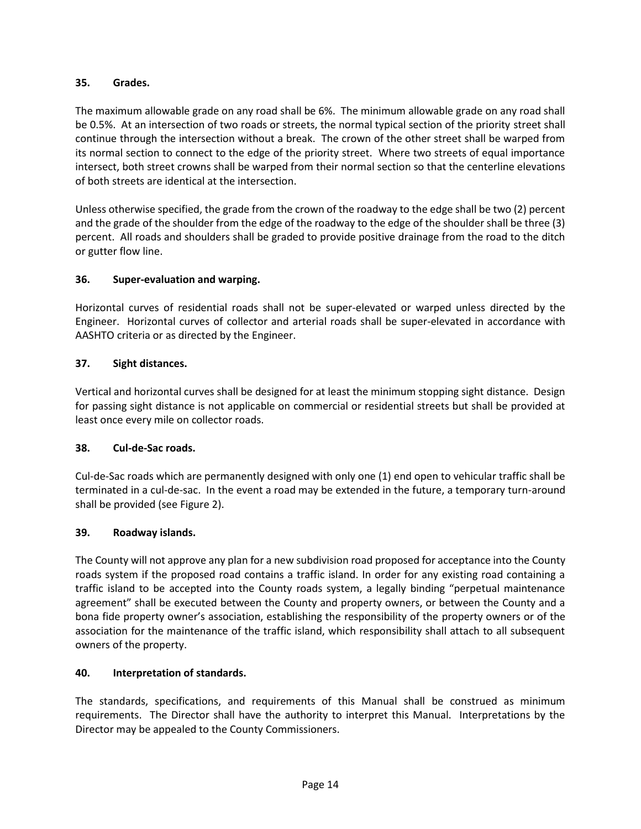# **35. Grades.**

The maximum allowable grade on any road shall be 6%. The minimum allowable grade on any road shall be 0.5%. At an intersection of two roads or streets, the normal typical section of the priority street shall continue through the intersection without a break. The crown of the other street shall be warped from its normal section to connect to the edge of the priority street. Where two streets of equal importance intersect, both street crowns shall be warped from their normal section so that the centerline elevations of both streets are identical at the intersection.

Unless otherwise specified, the grade from the crown of the roadway to the edge shall be two (2) percent and the grade of the shoulder from the edge of the roadway to the edge of the shoulder shall be three (3) percent. All roads and shoulders shall be graded to provide positive drainage from the road to the ditch or gutter flow line.

# **36. Super-evaluation and warping.**

Horizontal curves of residential roads shall not be super-elevated or warped unless directed by the Engineer. Horizontal curves of collector and arterial roads shall be super-elevated in accordance with AASHTO criteria or as directed by the Engineer.

# **37. Sight distances.**

Vertical and horizontal curves shall be designed for at least the minimum stopping sight distance. Design for passing sight distance is not applicable on commercial or residential streets but shall be provided at least once every mile on collector roads.

### **38. Cul-de-Sac roads.**

Cul-de-Sac roads which are permanently designed with only one (1) end open to vehicular traffic shall be terminated in a cul-de-sac. In the event a road may be extended in the future, a temporary turn-around shall be provided (see Figure 2).

### **39. Roadway islands.**

The County will not approve any plan for a new subdivision road proposed for acceptance into the County roads system if the proposed road contains a traffic island. In order for any existing road containing a traffic island to be accepted into the County roads system, a legally binding "perpetual maintenance agreement" shall be executed between the County and property owners, or between the County and a bona fide property owner's association, establishing the responsibility of the property owners or of the association for the maintenance of the traffic island, which responsibility shall attach to all subsequent owners of the property.

### **40. Interpretation of standards.**

The standards, specifications, and requirements of this Manual shall be construed as minimum requirements. The Director shall have the authority to interpret this Manual. Interpretations by the Director may be appealed to the County Commissioners.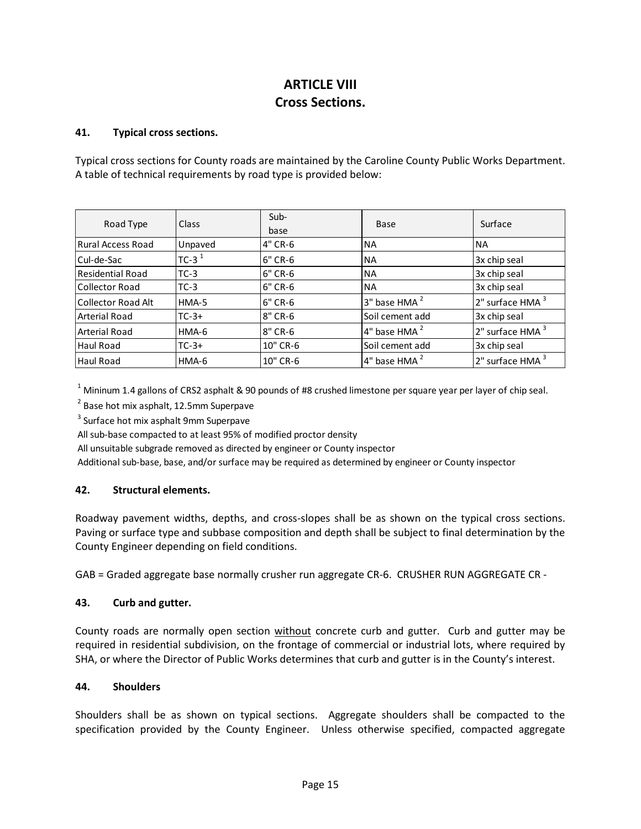# **ARTICLE VIII Cross Sections.**

### **41. Typical cross sections.**

Typical cross sections for County roads are maintained by the Caroline County Public Works Department. A table of technical requirements by road type is provided below:

| Road Type               | Class    | $Sub-$<br>base | Base                     | Surface          |  |
|-------------------------|----------|----------------|--------------------------|------------------|--|
| Rural Access Road       | Unpaved  | 4" CR-6        | <b>NA</b>                | <b>NA</b>        |  |
| Cul-de-Sac              | TC-3 $1$ | 6" CR-6        | <b>NA</b>                | 3x chip seal     |  |
| <b>Residential Road</b> | $TC-3$   | 6" CR-6        | <b>NA</b>                | 3x chip seal     |  |
| Collector Road          | $TC-3$   | 6" CR-6        | <b>NA</b>                | 3x chip seal     |  |
| Collector Road Alt      | HMA-5    | 6" CR-6        | 3" base HMA <sup>2</sup> | 2" surface HMA 3 |  |
| Arterial Road           | $TC-3+$  | 8" CR-6        | Soil cement add          | 3x chip seal     |  |
| Arterial Road           | HMA-6    | 8" CR-6        | 4" base HMA <sup>2</sup> | 2" surface HMA 3 |  |
| Haul Road               | $TC-3+$  | 10" CR-6       | Soil cement add          | 3x chip seal     |  |
| <b>Haul Road</b>        | HMA-6    | 10" CR-6       | $4"$ base HMA $^2$       | 2" surface HMA   |  |

<sup>1</sup> Mininum 1.4 gallons of CRS2 asphalt & 90 pounds of #8 crushed limestone per square year per layer of chip seal.

<sup>2</sup> Base hot mix asphalt, 12.5mm Superpave

<sup>3</sup> Surface hot mix asphalt 9mm Superpave

All sub-base compacted to at least 95% of modified proctor density

All unsuitable subgrade removed as directed by engineer or County inspector

Additional sub-base, base, and/or surface may be required as determined by engineer or County inspector

# **42. Structural elements.**

Roadway pavement widths, depths, and cross-slopes shall be as shown on the typical cross sections. Paving or surface type and subbase composition and depth shall be subject to final determination by the County Engineer depending on field conditions.

GAB = Graded aggregate base normally crusher run aggregate CR-6. CRUSHER RUN AGGREGATE CR -

### **43. Curb and gutter.**

County roads are normally open section without concrete curb and gutter. Curb and gutter may be required in residential subdivision, on the frontage of commercial or industrial lots, where required by SHA, or where the Director of Public Works determines that curb and gutter is in the County's interest.

### **44. Shoulders**

Shoulders shall be as shown on typical sections. Aggregate shoulders shall be compacted to the specification provided by the County Engineer. Unless otherwise specified, compacted aggregate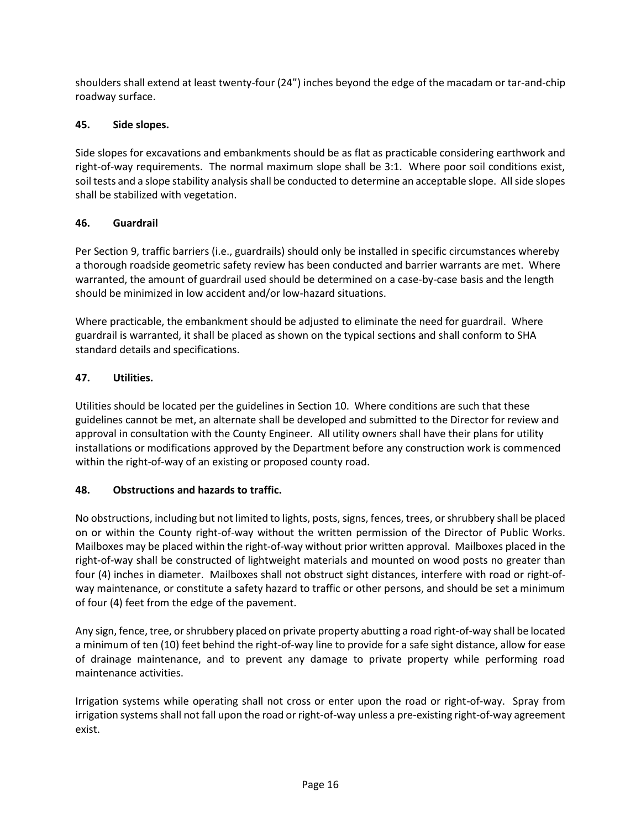shoulders shall extend at least twenty-four (24") inches beyond the edge of the macadam or tar-and-chip roadway surface.

# **45. Side slopes.**

Side slopes for excavations and embankments should be as flat as practicable considering earthwork and right-of-way requirements. The normal maximum slope shall be 3:1. Where poor soil conditions exist, soil tests and a slope stability analysis shall be conducted to determine an acceptable slope. All side slopes shall be stabilized with vegetation.

# **46. Guardrail**

Per Section 9, traffic barriers (i.e., guardrails) should only be installed in specific circumstances whereby a thorough roadside geometric safety review has been conducted and barrier warrants are met. Where warranted, the amount of guardrail used should be determined on a case-by-case basis and the length should be minimized in low accident and/or low-hazard situations.

Where practicable, the embankment should be adjusted to eliminate the need for guardrail. Where guardrail is warranted, it shall be placed as shown on the typical sections and shall conform to SHA standard details and specifications.

# **47. Utilities.**

Utilities should be located per the guidelines in Section 10. Where conditions are such that these guidelines cannot be met, an alternate shall be developed and submitted to the Director for review and approval in consultation with the County Engineer. All utility owners shall have their plans for utility installations or modifications approved by the Department before any construction work is commenced within the right-of-way of an existing or proposed county road.

# **48. Obstructions and hazards to traffic.**

No obstructions, including but not limited to lights, posts, signs, fences, trees, or shrubbery shall be placed on or within the County right-of-way without the written permission of the Director of Public Works. Mailboxes may be placed within the right-of-way without prior written approval. Mailboxes placed in the right-of-way shall be constructed of lightweight materials and mounted on wood posts no greater than four (4) inches in diameter. Mailboxes shall not obstruct sight distances, interfere with road or right-ofway maintenance, or constitute a safety hazard to traffic or other persons, and should be set a minimum of four (4) feet from the edge of the pavement.

Any sign, fence, tree, or shrubbery placed on private property abutting a road right-of-way shall be located a minimum of ten (10) feet behind the right-of-way line to provide for a safe sight distance, allow for ease of drainage maintenance, and to prevent any damage to private property while performing road maintenance activities.

Irrigation systems while operating shall not cross or enter upon the road or right-of-way. Spray from irrigation systems shall not fall upon the road or right-of-way unless a pre-existing right-of-way agreement exist.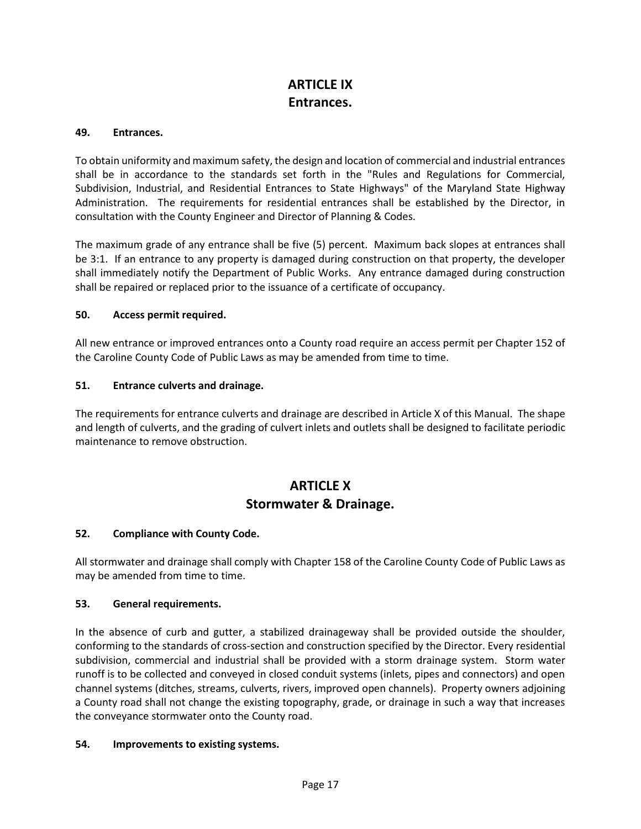# **ARTICLE IX Entrances.**

### **49. Entrances.**

To obtain uniformity and maximum safety, the design and location of commercial and industrial entrances shall be in accordance to the standards set forth in the "Rules and Regulations for Commercial, Subdivision, Industrial, and Residential Entrances to State Highways" of the Maryland State Highway Administration. The requirements for residential entrances shall be established by the Director, in consultation with the County Engineer and Director of Planning & Codes.

The maximum grade of any entrance shall be five (5) percent. Maximum back slopes at entrances shall be 3:1. If an entrance to any property is damaged during construction on that property, the developer shall immediately notify the Department of Public Works. Any entrance damaged during construction shall be repaired or replaced prior to the issuance of a certificate of occupancy.

### **50. Access permit required.**

All new entrance or improved entrances onto a County road require an access permit per Chapter 152 of the Caroline County Code of Public Laws as may be amended from time to time.

### **51. Entrance culverts and drainage.**

The requirements for entrance culverts and drainage are described in Article X of this Manual. The shape and length of culverts, and the grading of culvert inlets and outlets shall be designed to facilitate periodic maintenance to remove obstruction.

# **ARTICLE X Stormwater & Drainage.**

### **52. Compliance with County Code.**

All stormwater and drainage shall comply with Chapter 158 of the Caroline County Code of Public Laws as may be amended from time to time.

### **53. General requirements.**

In the absence of curb and gutter, a stabilized drainageway shall be provided outside the shoulder, conforming to the standards of cross-section and construction specified by the Director. Every residential subdivision, commercial and industrial shall be provided with a storm drainage system. Storm water runoff is to be collected and conveyed in closed conduit systems (inlets, pipes and connectors) and open channel systems (ditches, streams, culverts, rivers, improved open channels). Property owners adjoining a County road shall not change the existing topography, grade, or drainage in such a way that increases the conveyance stormwater onto the County road.

### **54. Improvements to existing systems.**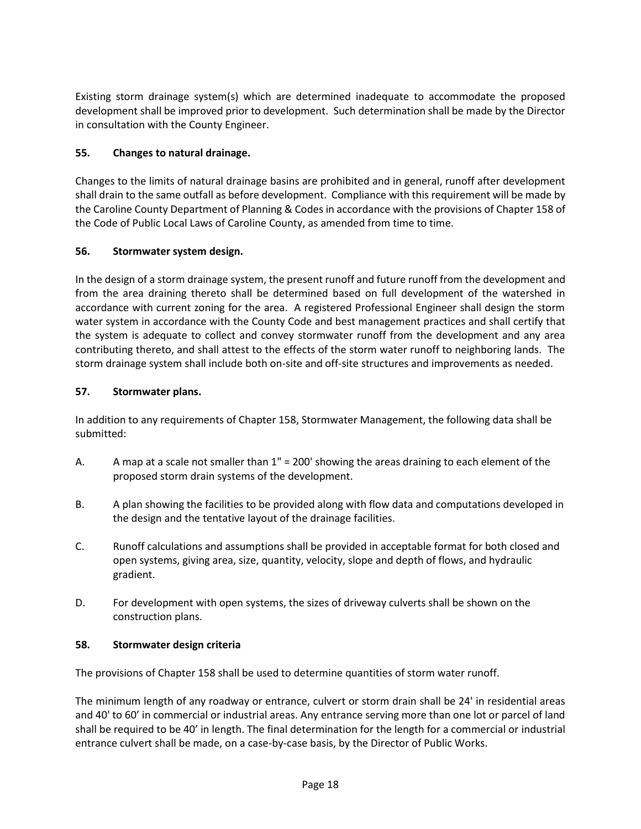Existing storm drainage system(s) which are determined inadequate to accommodate the proposed development shall be improved prior to development. Such determination shall be made by the Director in consultation with the County Engineer.

# **55. Changes to natural drainage.**

Changes to the limits of natural drainage basins are prohibited and in general, runoff after development shall drain to the same outfall as before development. Compliance with this requirement will be made by the Caroline County Department of Planning & Codes in accordance with the provisions of Chapter 158 of the Code of Public Local Laws of Caroline County, as amended from time to time.

# **56. Stormwater system design.**

In the design of a storm drainage system, the present runoff and future runoff from the development and from the area draining thereto shall be determined based on full development of the watershed in accordance with current zoning for the area. A registered Professional Engineer shall design the storm water system in accordance with the County Code and best management practices and shall certify that the system is adequate to collect and convey stormwater runoff from the development and any area contributing thereto, and shall attest to the effects of the storm water runoff to neighboring lands. The storm drainage system shall include both on-site and off-site structures and improvements as needed.

# **57. Stormwater plans.**

In addition to any requirements of Chapter 158, Stormwater Management, the following data shall be submitted:

- A. A map at a scale not smaller than 1" = 200' showing the areas draining to each element of the proposed storm drain systems of the development.
- B. A plan showing the facilities to be provided along with flow data and computations developed in the design and the tentative layout of the drainage facilities.
- C. Runoff calculations and assumptions shall be provided in acceptable format for both closed and open systems, giving area, size, quantity, velocity, slope and depth of flows, and hydraulic gradient.
- D. For development with open systems, the sizes of driveway culverts shall be shown on the construction plans.

# **58. Stormwater design criteria**

The provisions of Chapter 158 shall be used to determine quantities of storm water runoff.

The minimum length of any roadway or entrance, culvert or storm drain shall be 24' in residential areas and 40' to 60' in commercial or industrial areas. Any entrance serving more than one lot or parcel of land shall be required to be 40' in length. The final determination for the length for a commercial or industrial entrance culvert shall be made, on a case-by-case basis, by the Director of Public Works.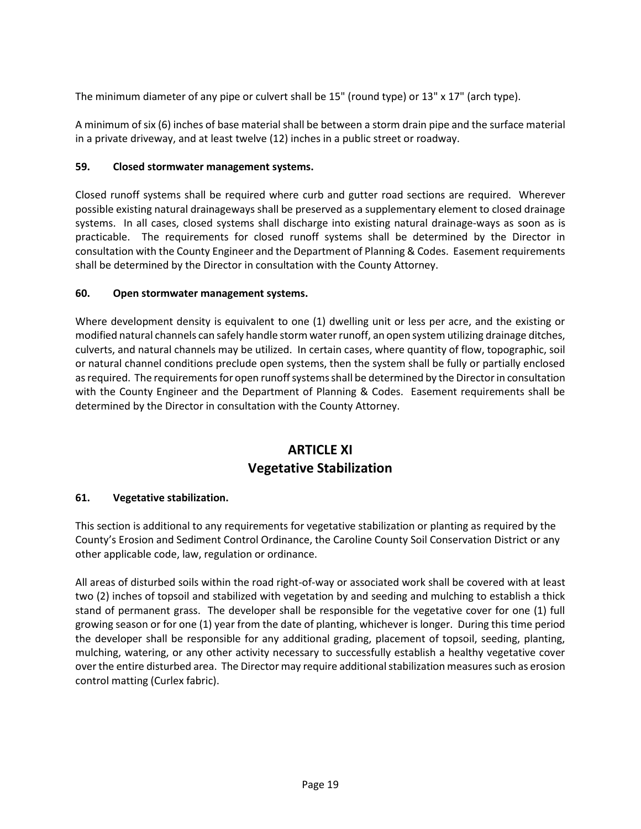The minimum diameter of any pipe or culvert shall be 15" (round type) or 13" x 17" (arch type).

A minimum of six (6) inches of base material shall be between a storm drain pipe and the surface material in a private driveway, and at least twelve (12) inches in a public street or roadway.

# **59. Closed stormwater management systems.**

Closed runoff systems shall be required where curb and gutter road sections are required. Wherever possible existing natural drainageways shall be preserved as a supplementary element to closed drainage systems. In all cases, closed systems shall discharge into existing natural drainage-ways as soon as is practicable. The requirements for closed runoff systems shall be determined by the Director in consultation with the County Engineer and the Department of Planning & Codes. Easement requirements shall be determined by the Director in consultation with the County Attorney.

# **60. Open stormwater management systems.**

Where development density is equivalent to one (1) dwelling unit or less per acre, and the existing or modified natural channels can safely handle storm water runoff, an open system utilizing drainage ditches, culverts, and natural channels may be utilized. In certain cases, where quantity of flow, topographic, soil or natural channel conditions preclude open systems, then the system shall be fully or partially enclosed as required. The requirements for open runoff systems shall be determined by the Director in consultation with the County Engineer and the Department of Planning & Codes. Easement requirements shall be determined by the Director in consultation with the County Attorney.

# **ARTICLE XI Vegetative Stabilization**

# **61. Vegetative stabilization.**

This section is additional to any requirements for vegetative stabilization or planting as required by the County's Erosion and Sediment Control Ordinance, the Caroline County Soil Conservation District or any other applicable code, law, regulation or ordinance.

All areas of disturbed soils within the road right-of-way or associated work shall be covered with at least two (2) inches of topsoil and stabilized with vegetation by and seeding and mulching to establish a thick stand of permanent grass. The developer shall be responsible for the vegetative cover for one (1) full growing season or for one (1) year from the date of planting, whichever is longer. During this time period the developer shall be responsible for any additional grading, placement of topsoil, seeding, planting, mulching, watering, or any other activity necessary to successfully establish a healthy vegetative cover over the entire disturbed area. The Director may require additional stabilization measures such as erosion control matting (Curlex fabric).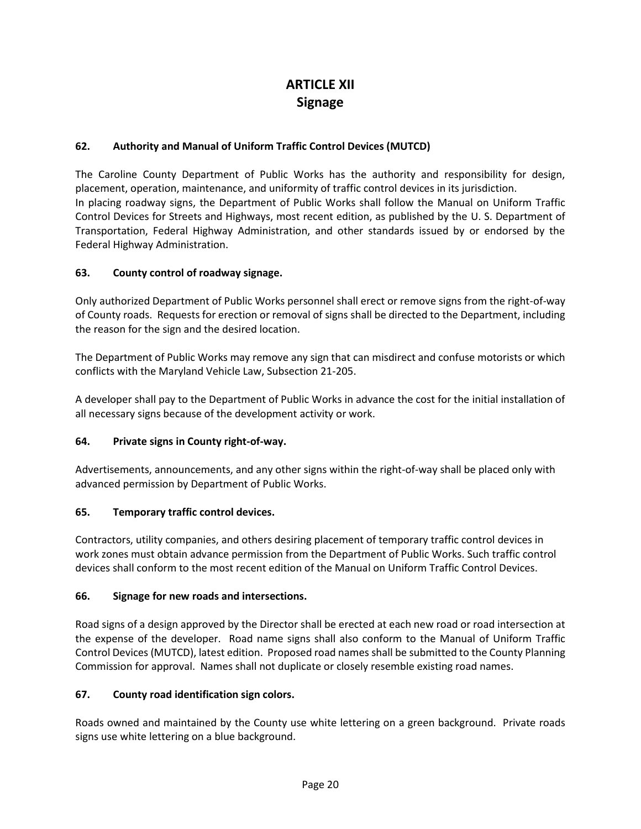# **ARTICLE XII Signage**

# **62. Authority and Manual of Uniform Traffic Control Devices (MUTCD)**

The Caroline County Department of Public Works has the authority and responsibility for design, placement, operation, maintenance, and uniformity of traffic control devices in its jurisdiction. In placing roadway signs, the Department of Public Works shall follow the Manual on Uniform Traffic Control Devices for Streets and Highways, most recent edition, as published by the U. S. Department of Transportation, Federal Highway Administration, and other standards issued by or endorsed by the Federal Highway Administration.

# **63. County control of roadway signage.**

Only authorized Department of Public Works personnel shall erect or remove signs from the right-of-way of County roads. Requests for erection or removal of signs shall be directed to the Department, including the reason for the sign and the desired location.

The Department of Public Works may remove any sign that can misdirect and confuse motorists or which conflicts with the Maryland Vehicle Law, Subsection 21-205.

A developer shall pay to the Department of Public Works in advance the cost for the initial installation of all necessary signs because of the development activity or work.

# **64. Private signs in County right-of-way.**

Advertisements, announcements, and any other signs within the right-of-way shall be placed only with advanced permission by Department of Public Works.

### **65. Temporary traffic control devices.**

Contractors, utility companies, and others desiring placement of temporary traffic control devices in work zones must obtain advance permission from the Department of Public Works. Such traffic control devices shall conform to the most recent edition of the Manual on Uniform Traffic Control Devices.

### **66. Signage for new roads and intersections.**

Road signs of a design approved by the Director shall be erected at each new road or road intersection at the expense of the developer. Road name signs shall also conform to the Manual of Uniform Traffic Control Devices (MUTCD), latest edition. Proposed road names shall be submitted to the County Planning Commission for approval. Names shall not duplicate or closely resemble existing road names.

### **67. County road identification sign colors.**

Roads owned and maintained by the County use white lettering on a green background. Private roads signs use white lettering on a blue background.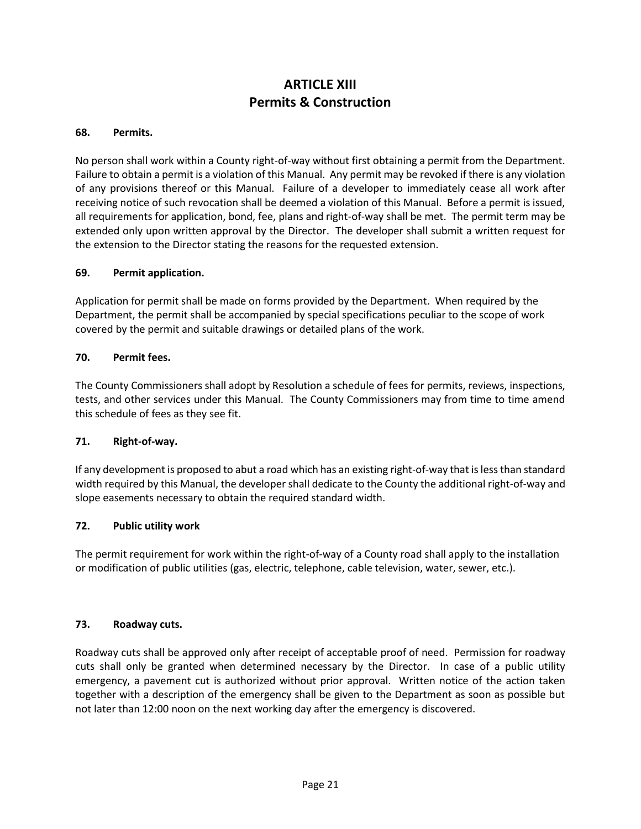# **ARTICLE XIII Permits & Construction**

### **68. Permits.**

No person shall work within a County right-of-way without first obtaining a permit from the Department. Failure to obtain a permit is a violation of this Manual. Any permit may be revoked if there is any violation of any provisions thereof or this Manual. Failure of a developer to immediately cease all work after receiving notice of such revocation shall be deemed a violation of this Manual. Before a permit is issued, all requirements for application, bond, fee, plans and right-of-way shall be met. The permit term may be extended only upon written approval by the Director. The developer shall submit a written request for the extension to the Director stating the reasons for the requested extension.

# **69. Permit application.**

Application for permit shall be made on forms provided by the Department. When required by the Department, the permit shall be accompanied by special specifications peculiar to the scope of work covered by the permit and suitable drawings or detailed plans of the work.

# **70. Permit fees.**

The County Commissioners shall adopt by Resolution a schedule of fees for permits, reviews, inspections, tests, and other services under this Manual. The County Commissioners may from time to time amend this schedule of fees as they see fit.

### **71. Right-of-way.**

If any development is proposed to abut a road which has an existing right-of-way that is less than standard width required by this Manual, the developer shall dedicate to the County the additional right-of-way and slope easements necessary to obtain the required standard width.

### **72. Public utility work**

The permit requirement for work within the right-of-way of a County road shall apply to the installation or modification of public utilities (gas, electric, telephone, cable television, water, sewer, etc.).

### **73. Roadway cuts.**

Roadway cuts shall be approved only after receipt of acceptable proof of need. Permission for roadway cuts shall only be granted when determined necessary by the Director. In case of a public utility emergency, a pavement cut is authorized without prior approval. Written notice of the action taken together with a description of the emergency shall be given to the Department as soon as possible but not later than 12:00 noon on the next working day after the emergency is discovered.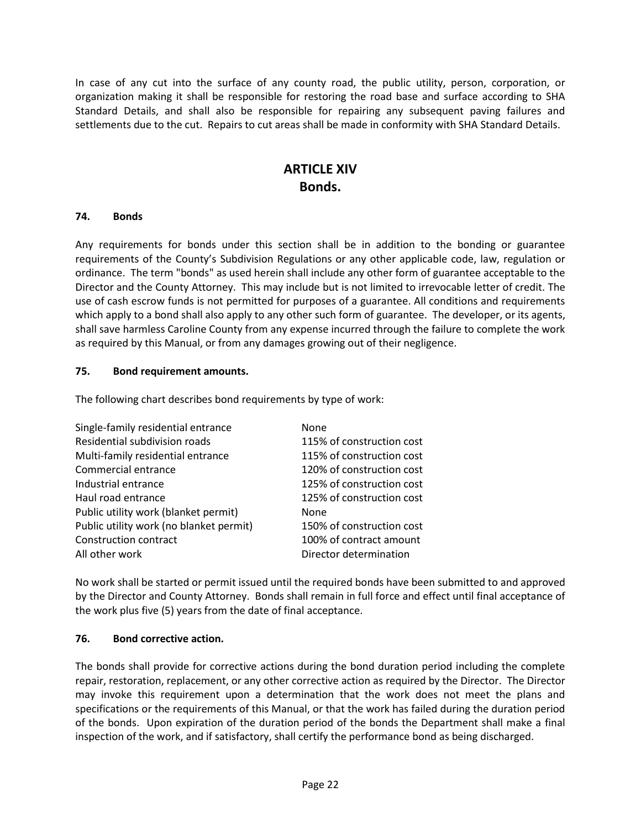In case of any cut into the surface of any county road, the public utility, person, corporation, or organization making it shall be responsible for restoring the road base and surface according to SHA Standard Details, and shall also be responsible for repairing any subsequent paving failures and settlements due to the cut. Repairs to cut areas shall be made in conformity with SHA Standard Details.

# **ARTICLE XIV Bonds.**

### **74. Bonds**

Any requirements for bonds under this section shall be in addition to the bonding or guarantee requirements of the County's Subdivision Regulations or any other applicable code, law, regulation or ordinance. The term "bonds" as used herein shall include any other form of guarantee acceptable to the Director and the County Attorney. This may include but is not limited to irrevocable letter of credit. The use of cash escrow funds is not permitted for purposes of a guarantee. All conditions and requirements which apply to a bond shall also apply to any other such form of guarantee. The developer, or its agents, shall save harmless Caroline County from any expense incurred through the failure to complete the work as required by this Manual, or from any damages growing out of their negligence.

# **75. Bond requirement amounts.**

The following chart describes bond requirements by type of work:

| Single-family residential entrance      | None                      |
|-----------------------------------------|---------------------------|
| Residential subdivision roads           | 115% of construction cost |
| Multi-family residential entrance       | 115% of construction cost |
| Commercial entrance                     | 120% of construction cost |
| Industrial entrance                     | 125% of construction cost |
| Haul road entrance                      | 125% of construction cost |
| Public utility work (blanket permit)    | None                      |
| Public utility work (no blanket permit) | 150% of construction cost |
| Construction contract                   | 100% of contract amount   |
| All other work                          | Director determination    |

No work shall be started or permit issued until the required bonds have been submitted to and approved by the Director and County Attorney. Bonds shall remain in full force and effect until final acceptance of the work plus five (5) years from the date of final acceptance.

# **76. Bond corrective action.**

The bonds shall provide for corrective actions during the bond duration period including the complete repair, restoration, replacement, or any other corrective action as required by the Director. The Director may invoke this requirement upon a determination that the work does not meet the plans and specifications or the requirements of this Manual, or that the work has failed during the duration period of the bonds. Upon expiration of the duration period of the bonds the Department shall make a final inspection of the work, and if satisfactory, shall certify the performance bond as being discharged.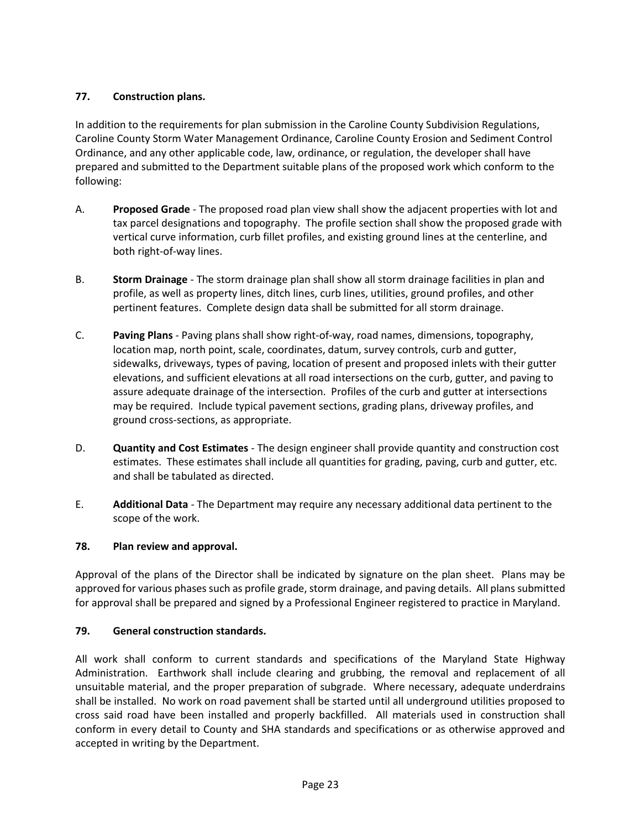# **77. Construction plans.**

In addition to the requirements for plan submission in the Caroline County Subdivision Regulations, Caroline County Storm Water Management Ordinance, Caroline County Erosion and Sediment Control Ordinance, and any other applicable code, law, ordinance, or regulation, the developer shall have prepared and submitted to the Department suitable plans of the proposed work which conform to the following:

- A. **Proposed Grade** The proposed road plan view shall show the adjacent properties with lot and tax parcel designations and topography. The profile section shall show the proposed grade with vertical curve information, curb fillet profiles, and existing ground lines at the centerline, and both right-of-way lines.
- B. **Storm Drainage** The storm drainage plan shall show all storm drainage facilities in plan and profile, as well as property lines, ditch lines, curb lines, utilities, ground profiles, and other pertinent features. Complete design data shall be submitted for all storm drainage.
- C. **Paving Plans** Paving plans shall show right-of-way, road names, dimensions, topography, location map, north point, scale, coordinates, datum, survey controls, curb and gutter, sidewalks, driveways, types of paving, location of present and proposed inlets with their gutter elevations, and sufficient elevations at all road intersections on the curb, gutter, and paving to assure adequate drainage of the intersection. Profiles of the curb and gutter at intersections may be required. Include typical pavement sections, grading plans, driveway profiles, and ground cross-sections, as appropriate.
- D. **Quantity and Cost Estimates** The design engineer shall provide quantity and construction cost estimates. These estimates shall include all quantities for grading, paving, curb and gutter, etc. and shall be tabulated as directed.
- E. **Additional Data** The Department may require any necessary additional data pertinent to the scope of the work.

# **78. Plan review and approval.**

Approval of the plans of the Director shall be indicated by signature on the plan sheet. Plans may be approved for various phases such as profile grade, storm drainage, and paving details. All plans submitted for approval shall be prepared and signed by a Professional Engineer registered to practice in Maryland.

# **79. General construction standards.**

All work shall conform to current standards and specifications of the Maryland State Highway Administration. Earthwork shall include clearing and grubbing, the removal and replacement of all unsuitable material, and the proper preparation of subgrade. Where necessary, adequate underdrains shall be installed. No work on road pavement shall be started until all underground utilities proposed to cross said road have been installed and properly backfilled. All materials used in construction shall conform in every detail to County and SHA standards and specifications or as otherwise approved and accepted in writing by the Department.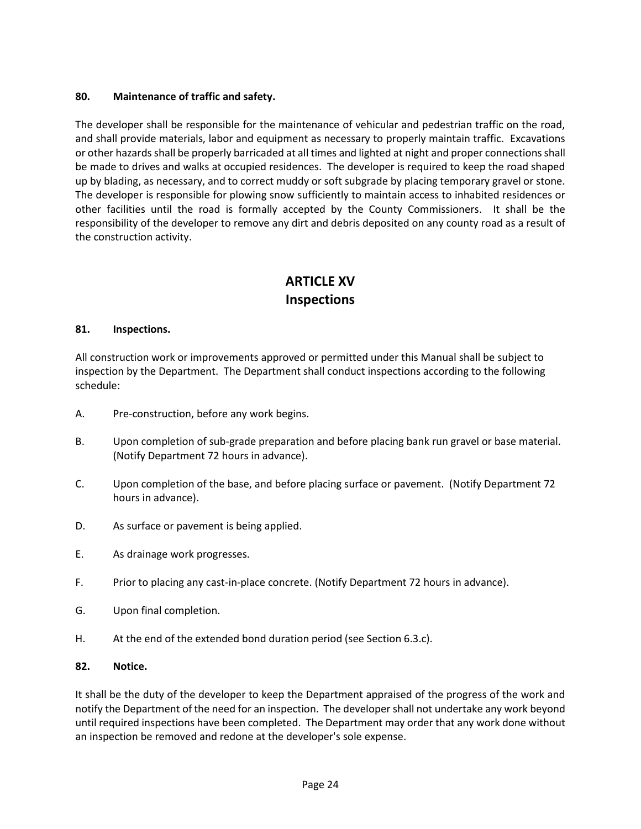# **80. Maintenance of traffic and safety.**

The developer shall be responsible for the maintenance of vehicular and pedestrian traffic on the road, and shall provide materials, labor and equipment as necessary to properly maintain traffic. Excavations or other hazards shall be properly barricaded at all times and lighted at night and proper connections shall be made to drives and walks at occupied residences. The developer is required to keep the road shaped up by blading, as necessary, and to correct muddy or soft subgrade by placing temporary gravel or stone. The developer is responsible for plowing snow sufficiently to maintain access to inhabited residences or other facilities until the road is formally accepted by the County Commissioners. It shall be the responsibility of the developer to remove any dirt and debris deposited on any county road as a result of the construction activity.

# **ARTICLE XV Inspections**

### **81. Inspections.**

All construction work or improvements approved or permitted under this Manual shall be subject to inspection by the Department. The Department shall conduct inspections according to the following schedule:

- A. Pre-construction, before any work begins.
- B. Upon completion of sub-grade preparation and before placing bank run gravel or base material. (Notify Department 72 hours in advance).
- C. Upon completion of the base, and before placing surface or pavement. (Notify Department 72 hours in advance).
- D. As surface or pavement is being applied.
- E. As drainage work progresses.
- F. Prior to placing any cast-in-place concrete. (Notify Department 72 hours in advance).
- G. Upon final completion.
- H. At the end of the extended bond duration period (see Section 6.3.c).

### **82. Notice.**

It shall be the duty of the developer to keep the Department appraised of the progress of the work and notify the Department of the need for an inspection. The developer shall not undertake any work beyond until required inspections have been completed. The Department may order that any work done without an inspection be removed and redone at the developer's sole expense.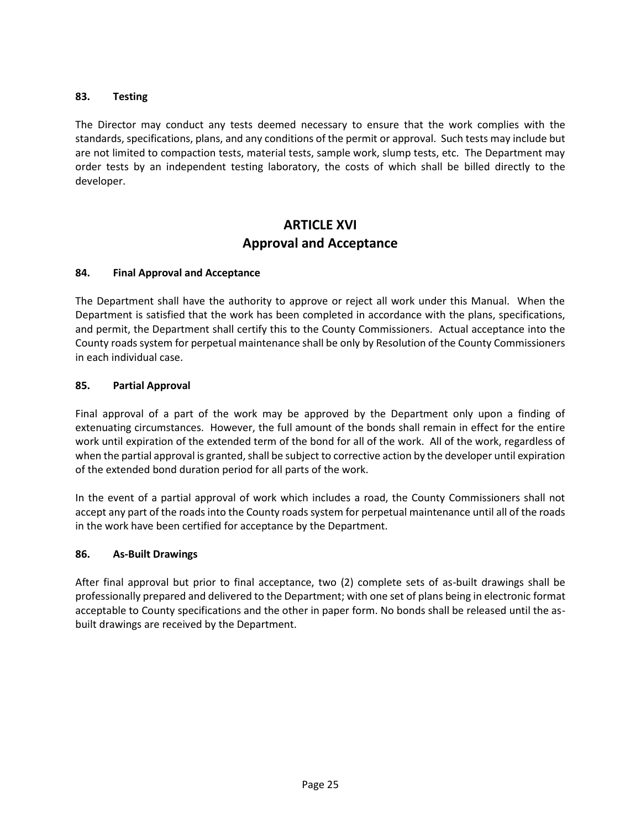# **83. Testing**

The Director may conduct any tests deemed necessary to ensure that the work complies with the standards, specifications, plans, and any conditions of the permit or approval. Such tests may include but are not limited to compaction tests, material tests, sample work, slump tests, etc. The Department may order tests by an independent testing laboratory, the costs of which shall be billed directly to the developer.

# **ARTICLE XVI Approval and Acceptance**

# **84. Final Approval and Acceptance**

The Department shall have the authority to approve or reject all work under this Manual. When the Department is satisfied that the work has been completed in accordance with the plans, specifications, and permit, the Department shall certify this to the County Commissioners. Actual acceptance into the County roads system for perpetual maintenance shall be only by Resolution of the County Commissioners in each individual case.

### **85. Partial Approval**

Final approval of a part of the work may be approved by the Department only upon a finding of extenuating circumstances. However, the full amount of the bonds shall remain in effect for the entire work until expiration of the extended term of the bond for all of the work. All of the work, regardless of when the partial approval is granted, shall be subject to corrective action by the developer until expiration of the extended bond duration period for all parts of the work.

In the event of a partial approval of work which includes a road, the County Commissioners shall not accept any part of the roads into the County roads system for perpetual maintenance until all of the roads in the work have been certified for acceptance by the Department.

### **86. As-Built Drawings**

After final approval but prior to final acceptance, two (2) complete sets of as-built drawings shall be professionally prepared and delivered to the Department; with one set of plans being in electronic format acceptable to County specifications and the other in paper form. No bonds shall be released until the asbuilt drawings are received by the Department.